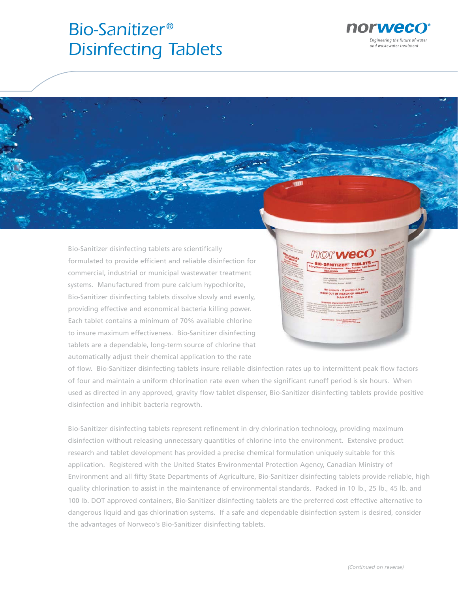# *Bio-Sanitizer® Disinfecting Tablets*



Bio-Sanitizer disinfecting tablets are scientifically formulated to provide efficient and reliable disinfection for commercial, industrial or municipal wastewater treatment systems. Manufactured from pure calcium hypochlorite, Bio-Sanitizer disinfecting tablets dissolve slowly and evenly, , providing effective and economical bacteria killing power. Each tablet contains a minimum of 70% available chlorine to insure maximum effectiveness. Bio-Sanitizer disinfecting g tablets are a dependable, long-term source of chlorine that automatically adjust their chemical application to the rate



of flow. Bio-Sanitizer disinfecting tablets insure reliable disinfection rates up to intermittent peak flow factors of four and maintain a uniform chlorination rate even when the significant runoff period is six hours. When used as directed in any approved, gravity flow tablet dispenser, Bio-Sanitizer disinfecting tablets provide positive disinfection and inhibit bacteria regrowth.

Bio-Sanitizer disinfecting tablets represent refinement in dry chlorination technology, providing maximum disinfection without releasing unnecessary quantities of chlorine into the environment. Extensive product research and tablet development has provided a precise chemical formulation uniquely suitable for this application. Registered with the United States Environmental Protection Agency, Canadian Ministry of Environment and all fifty State Departments of Agriculture, Bio-Sanitizer disinfecting tablets provide reliable, high quality chlorination to assist in the maintenance of environmental standards. Packed in 10 lb., 25 lb., 45 lb. and 100 lb. DOT approved containers, Bio-Sanitizer disinfecting tablets are the preferred cost effective alternative to dangerous liquid and gas chlorination systems. If a safe and dependable disinfection system is desired, consider the advantages of Norweco's Bio-Sanitizer disinfecting tablets.